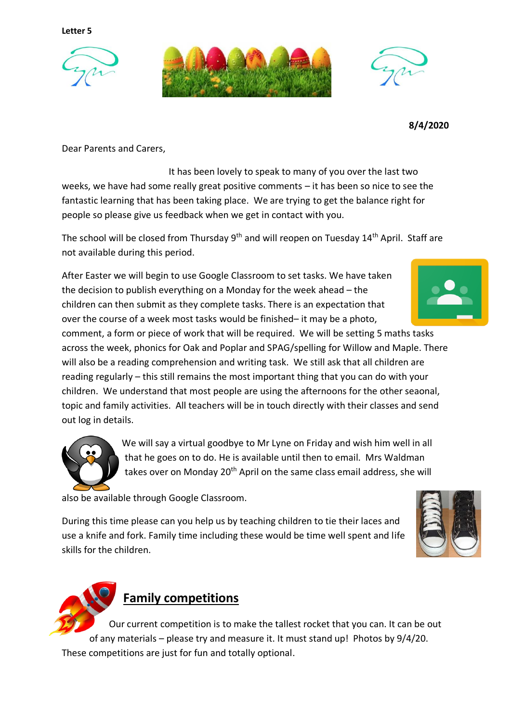**Letter 5**





**8/4/2020**

Dear Parents and Carers,

 It has been lovely to speak to many of you over the last two weeks, we have had some really great positive comments – it has been so nice to see the fantastic learning that has been taking place. We are trying to get the balance right for people so please give us feedback when we get in contact with you.

The school will be closed from Thursday  $9<sup>th</sup>$  and will reopen on Tuesday 14<sup>th</sup> April. Staff are not available during this period.

After Easter we will begin to use Google Classroom to set tasks. We have taken the decision to publish everything on a Monday for the week ahead – the children can then submit as they complete tasks. There is an expectation that over the course of a week most tasks would be finished– it may be a photo,

comment, a form or piece of work that will be required. We will be setting 5 maths tasks across the week, phonics for Oak and Poplar and SPAG/spelling for Willow and Maple. There will also be a reading comprehension and writing task. We still ask that all children are reading regularly – this still remains the most important thing that you can do with your children. We understand that most people are using the afternoons for the other seaonal, topic and family activities. All teachers will be in touch directly with their classes and send out log in details.

> We will say a virtual goodbye to Mr Lyne on Friday and wish him well in all that he goes on to do. He is available until then to email. Mrs Waldman takes over on Monday 20<sup>th</sup> April on the same class email address, she will

also be available through Google Classroom.

During this time please can you help us by teaching children to tie their laces and use a knife and fork. Family time including these would be time well spent and life skills for the children.





## **Family competitions**

Our current competition is to make the tallest rocket that you can. It can be out of any materials – please try and measure it. It must stand up! Photos by 9/4/20. These competitions are just for fun and totally optional.

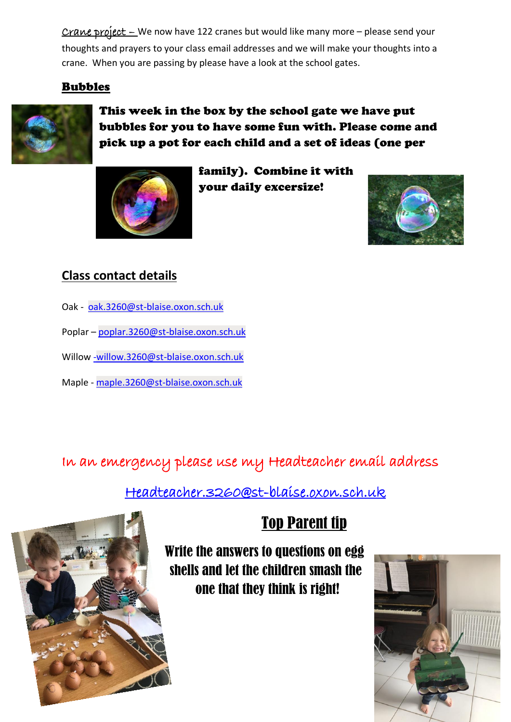Crane project – We now have 122 cranes but would like many more – please send your thoughts and prayers to your class email addresses and we will make your thoughts into a crane. When you are passing by please have a look at the school gates.

## Bubbles



This week in the box by the school gate we have put bubbles for you to have some fun with. Please come and pick up a pot for each child and a set of ideas (one per



family). Combine it with your daily excersize!



## **Class contact details**

- Oak [oak.3260@st-blaise.oxon.sch.uk](mailto:oak.3260@st-blaise.oxon.sch.uk)
- Poplar [poplar.3260@st-blaise.oxon.sch.uk](mailto:poplar.3260@st-blaise.oxon.sch.uk)
- Willo[w -willow.3260@st-blaise.oxon.sch.uk](mailto:-willow.3260@st-blaise.oxon.sch.uk)
- Maple [maple.3260@st-blaise.oxon.sch.uk](mailto:maple.3260@st-blaise.oxon.sch.uk)

In an emergency please use my Headteacher email address

[Headteacher.3260@st-blaise.oxon.sch.uk](mailto:Headteacher.3260@st-blaise.oxon.sch.uk) 



## Top Parent tip

Write the answers to questions on egg shells and let the children smash the one that they think is right!

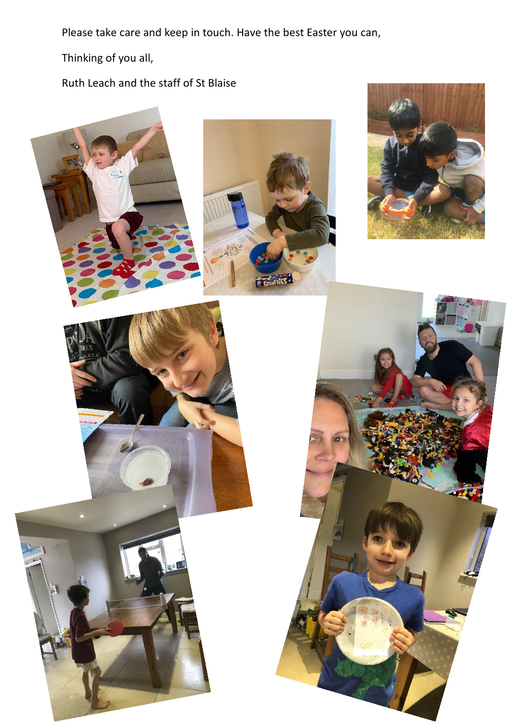Please take care and keep in touch. Have the best Easter you can,

Thinking of you all,

Ruth Leach and the staff of St Blaise